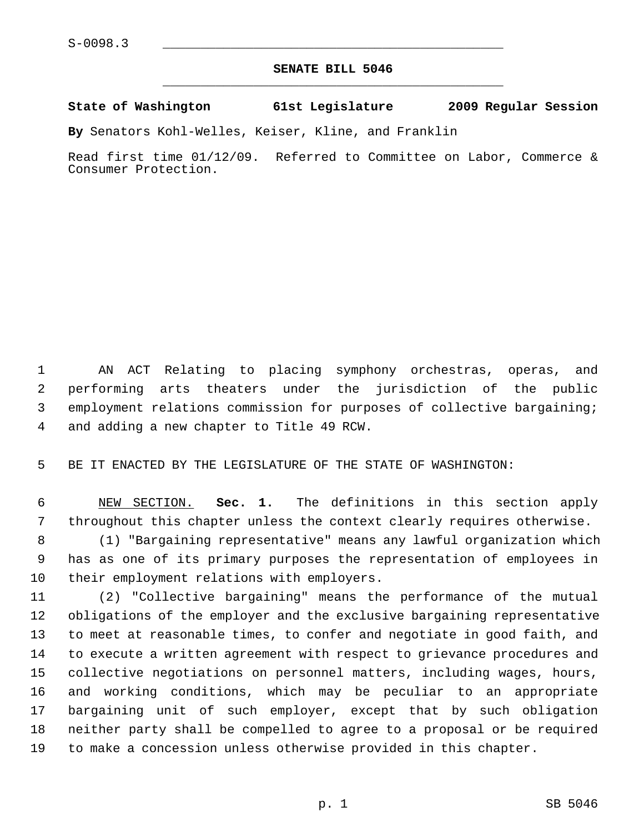## **SENATE BILL 5046** \_\_\_\_\_\_\_\_\_\_\_\_\_\_\_\_\_\_\_\_\_\_\_\_\_\_\_\_\_\_\_\_\_\_\_\_\_\_\_\_\_\_\_\_\_

## **State of Washington 61st Legislature 2009 Regular Session**

**By** Senators Kohl-Welles, Keiser, Kline, and Franklin

Read first time 01/12/09. Referred to Committee on Labor, Commerce & Consumer Protection.

 1 AN ACT Relating to placing symphony orchestras, operas, and 2 performing arts theaters under the jurisdiction of the public 3 employment relations commission for purposes of collective bargaining; 4 and adding a new chapter to Title 49 RCW.

5 BE IT ENACTED BY THE LEGISLATURE OF THE STATE OF WASHINGTON:

 6 NEW SECTION. **Sec. 1.** The definitions in this section apply 7 throughout this chapter unless the context clearly requires otherwise.

 8 (1) "Bargaining representative" means any lawful organization which 9 has as one of its primary purposes the representation of employees in 10 their employment relations with employers.

11 (2) "Collective bargaining" means the performance of the mutual 12 obligations of the employer and the exclusive bargaining representative 13 to meet at reasonable times, to confer and negotiate in good faith, and 14 to execute a written agreement with respect to grievance procedures and 15 collective negotiations on personnel matters, including wages, hours, 16 and working conditions, which may be peculiar to an appropriate 17 bargaining unit of such employer, except that by such obligation 18 neither party shall be compelled to agree to a proposal or be required 19 to make a concession unless otherwise provided in this chapter.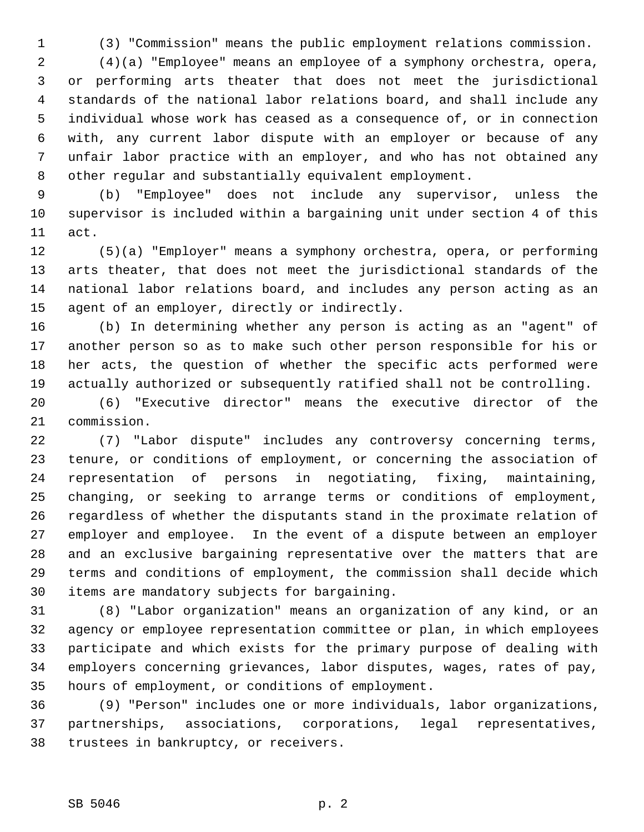1 (3) "Commission" means the public employment relations commission.

 2 (4)(a) "Employee" means an employee of a symphony orchestra, opera, 3 or performing arts theater that does not meet the jurisdictional 4 standards of the national labor relations board, and shall include any 5 individual whose work has ceased as a consequence of, or in connection 6 with, any current labor dispute with an employer or because of any 7 unfair labor practice with an employer, and who has not obtained any 8 other regular and substantially equivalent employment.

 9 (b) "Employee" does not include any supervisor, unless the 10 supervisor is included within a bargaining unit under section 4 of this 11 act.

12 (5)(a) "Employer" means a symphony orchestra, opera, or performing 13 arts theater, that does not meet the jurisdictional standards of the 14 national labor relations board, and includes any person acting as an 15 agent of an employer, directly or indirectly.

16 (b) In determining whether any person is acting as an "agent" of 17 another person so as to make such other person responsible for his or 18 her acts, the question of whether the specific acts performed were 19 actually authorized or subsequently ratified shall not be controlling.

20 (6) "Executive director" means the executive director of the 21 commission.

22 (7) "Labor dispute" includes any controversy concerning terms, 23 tenure, or conditions of employment, or concerning the association of 24 representation of persons in negotiating, fixing, maintaining, 25 changing, or seeking to arrange terms or conditions of employment, 26 regardless of whether the disputants stand in the proximate relation of 27 employer and employee. In the event of a dispute between an employer 28 and an exclusive bargaining representative over the matters that are 29 terms and conditions of employment, the commission shall decide which 30 items are mandatory subjects for bargaining.

31 (8) "Labor organization" means an organization of any kind, or an 32 agency or employee representation committee or plan, in which employees 33 participate and which exists for the primary purpose of dealing with 34 employers concerning grievances, labor disputes, wages, rates of pay, 35 hours of employment, or conditions of employment.

36 (9) "Person" includes one or more individuals, labor organizations, 37 partnerships, associations, corporations, legal representatives, 38 trustees in bankruptcy, or receivers.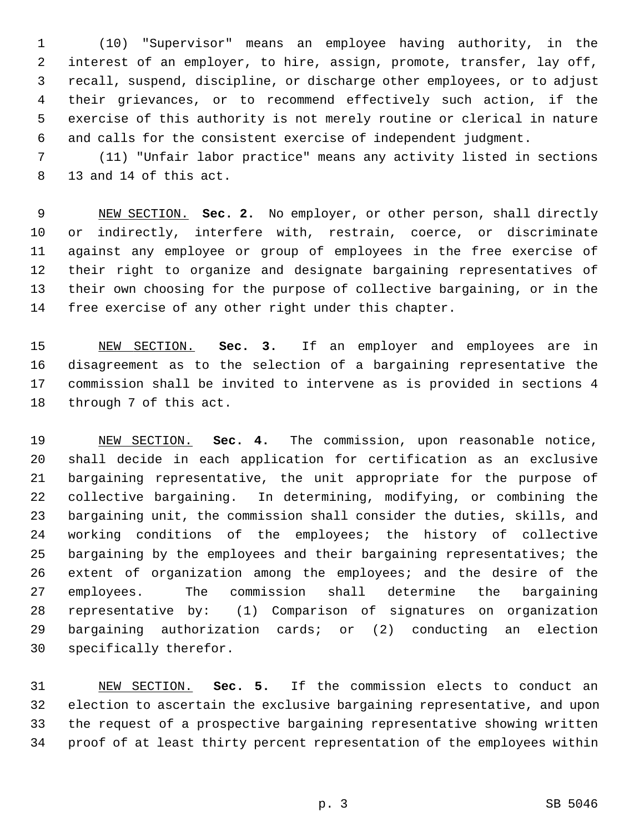1 (10) "Supervisor" means an employee having authority, in the 2 interest of an employer, to hire, assign, promote, transfer, lay off, 3 recall, suspend, discipline, or discharge other employees, or to adjust 4 their grievances, or to recommend effectively such action, if the 5 exercise of this authority is not merely routine or clerical in nature 6 and calls for the consistent exercise of independent judgment.

 7 (11) "Unfair labor practice" means any activity listed in sections 8 13 and 14 of this act.

 9 NEW SECTION. **Sec. 2.** No employer, or other person, shall directly 10 or indirectly, interfere with, restrain, coerce, or discriminate 11 against any employee or group of employees in the free exercise of 12 their right to organize and designate bargaining representatives of 13 their own choosing for the purpose of collective bargaining, or in the 14 free exercise of any other right under this chapter.

15 NEW SECTION. **Sec. 3.** If an employer and employees are in 16 disagreement as to the selection of a bargaining representative the 17 commission shall be invited to intervene as is provided in sections 4 18 through 7 of this act.

19 NEW SECTION. **Sec. 4.** The commission, upon reasonable notice, 20 shall decide in each application for certification as an exclusive 21 bargaining representative, the unit appropriate for the purpose of 22 collective bargaining. In determining, modifying, or combining the 23 bargaining unit, the commission shall consider the duties, skills, and 24 working conditions of the employees; the history of collective 25 bargaining by the employees and their bargaining representatives; the 26 extent of organization among the employees; and the desire of the 27 employees. The commission shall determine the bargaining 28 representative by: (1) Comparison of signatures on organization 29 bargaining authorization cards; or (2) conducting an election 30 specifically therefor.

31 NEW SECTION. **Sec. 5.** If the commission elects to conduct an 32 election to ascertain the exclusive bargaining representative, and upon 33 the request of a prospective bargaining representative showing written 34 proof of at least thirty percent representation of the employees within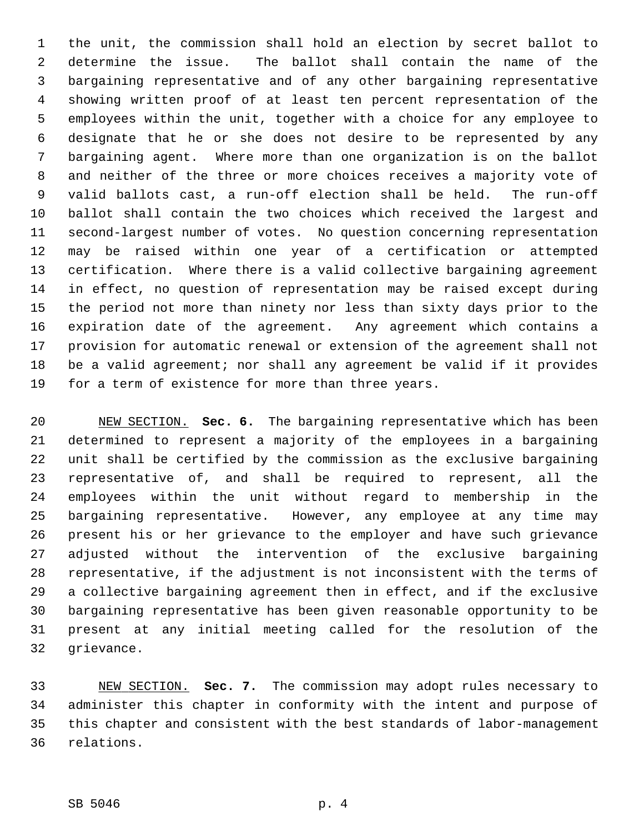1 the unit, the commission shall hold an election by secret ballot to 2 determine the issue. The ballot shall contain the name of the 3 bargaining representative and of any other bargaining representative 4 showing written proof of at least ten percent representation of the 5 employees within the unit, together with a choice for any employee to 6 designate that he or she does not desire to be represented by any 7 bargaining agent. Where more than one organization is on the ballot 8 and neither of the three or more choices receives a majority vote of 9 valid ballots cast, a run-off election shall be held. The run-off 10 ballot shall contain the two choices which received the largest and 11 second-largest number of votes. No question concerning representation 12 may be raised within one year of a certification or attempted 13 certification. Where there is a valid collective bargaining agreement 14 in effect, no question of representation may be raised except during 15 the period not more than ninety nor less than sixty days prior to the 16 expiration date of the agreement. Any agreement which contains a 17 provision for automatic renewal or extension of the agreement shall not 18 be a valid agreement; nor shall any agreement be valid if it provides 19 for a term of existence for more than three years.

20 NEW SECTION. **Sec. 6.** The bargaining representative which has been 21 determined to represent a majority of the employees in a bargaining 22 unit shall be certified by the commission as the exclusive bargaining 23 representative of, and shall be required to represent, all the 24 employees within the unit without regard to membership in the 25 bargaining representative. However, any employee at any time may 26 present his or her grievance to the employer and have such grievance 27 adjusted without the intervention of the exclusive bargaining 28 representative, if the adjustment is not inconsistent with the terms of 29 a collective bargaining agreement then in effect, and if the exclusive 30 bargaining representative has been given reasonable opportunity to be 31 present at any initial meeting called for the resolution of the 32 grievance.

33 NEW SECTION. **Sec. 7.** The commission may adopt rules necessary to 34 administer this chapter in conformity with the intent and purpose of 35 this chapter and consistent with the best standards of labor-management 36 relations.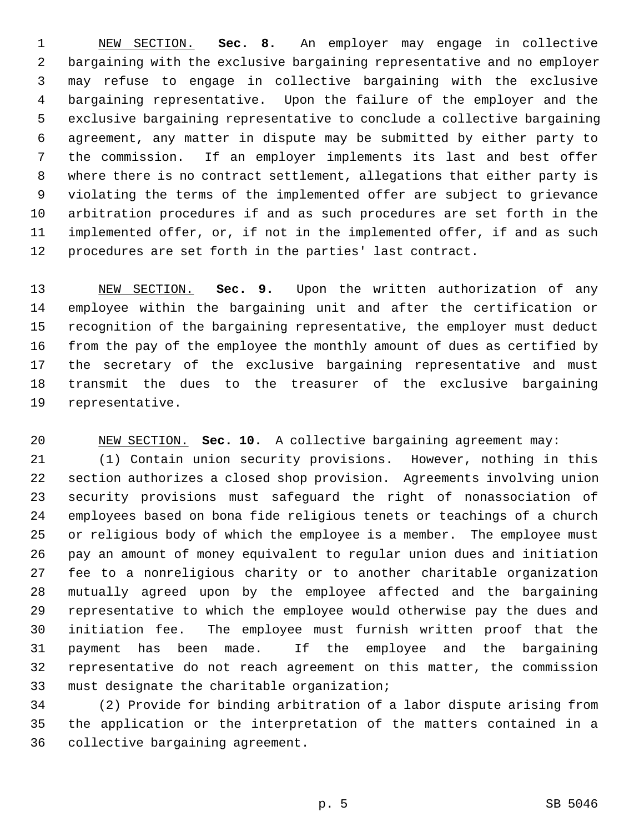1 NEW SECTION. **Sec. 8.** An employer may engage in collective 2 bargaining with the exclusive bargaining representative and no employer 3 may refuse to engage in collective bargaining with the exclusive 4 bargaining representative. Upon the failure of the employer and the 5 exclusive bargaining representative to conclude a collective bargaining 6 agreement, any matter in dispute may be submitted by either party to 7 the commission. If an employer implements its last and best offer 8 where there is no contract settlement, allegations that either party is 9 violating the terms of the implemented offer are subject to grievance 10 arbitration procedures if and as such procedures are set forth in the 11 implemented offer, or, if not in the implemented offer, if and as such 12 procedures are set forth in the parties' last contract.

13 NEW SECTION. **Sec. 9.** Upon the written authorization of any 14 employee within the bargaining unit and after the certification or 15 recognition of the bargaining representative, the employer must deduct 16 from the pay of the employee the monthly amount of dues as certified by 17 the secretary of the exclusive bargaining representative and must 18 transmit the dues to the treasurer of the exclusive bargaining 19 representative.

20 NEW SECTION. **Sec. 10.** A collective bargaining agreement may:

21 (1) Contain union security provisions. However, nothing in this 22 section authorizes a closed shop provision. Agreements involving union 23 security provisions must safeguard the right of nonassociation of 24 employees based on bona fide religious tenets or teachings of a church 25 or religious body of which the employee is a member. The employee must 26 pay an amount of money equivalent to regular union dues and initiation 27 fee to a nonreligious charity or to another charitable organization 28 mutually agreed upon by the employee affected and the bargaining 29 representative to which the employee would otherwise pay the dues and 30 initiation fee. The employee must furnish written proof that the 31 payment has been made. If the employee and the bargaining 32 representative do not reach agreement on this matter, the commission 33 must designate the charitable organization;

34 (2) Provide for binding arbitration of a labor dispute arising from 35 the application or the interpretation of the matters contained in a 36 collective bargaining agreement.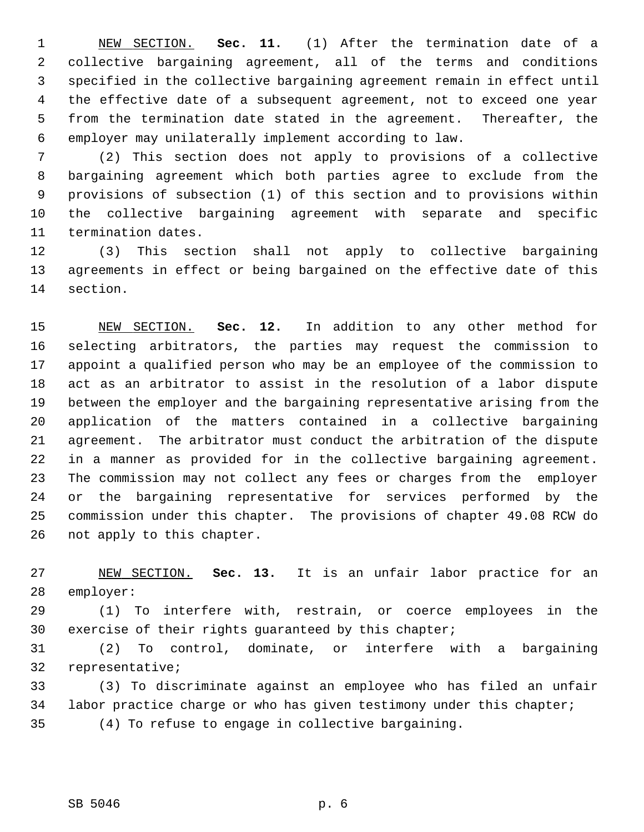1 NEW SECTION. **Sec. 11.** (1) After the termination date of a 2 collective bargaining agreement, all of the terms and conditions 3 specified in the collective bargaining agreement remain in effect until 4 the effective date of a subsequent agreement, not to exceed one year 5 from the termination date stated in the agreement. Thereafter, the 6 employer may unilaterally implement according to law.

 7 (2) This section does not apply to provisions of a collective 8 bargaining agreement which both parties agree to exclude from the 9 provisions of subsection (1) of this section and to provisions within 10 the collective bargaining agreement with separate and specific 11 termination dates.

12 (3) This section shall not apply to collective bargaining 13 agreements in effect or being bargained on the effective date of this 14 section.

15 NEW SECTION. **Sec. 12.** In addition to any other method for 16 selecting arbitrators, the parties may request the commission to 17 appoint a qualified person who may be an employee of the commission to 18 act as an arbitrator to assist in the resolution of a labor dispute 19 between the employer and the bargaining representative arising from the 20 application of the matters contained in a collective bargaining 21 agreement. The arbitrator must conduct the arbitration of the dispute 22 in a manner as provided for in the collective bargaining agreement. 23 The commission may not collect any fees or charges from the employer 24 or the bargaining representative for services performed by the 25 commission under this chapter. The provisions of chapter 49.08 RCW do 26 not apply to this chapter.

27 NEW SECTION. **Sec. 13.** It is an unfair labor practice for an 28 employer:

29 (1) To interfere with, restrain, or coerce employees in the 30 exercise of their rights guaranteed by this chapter;

31 (2) To control, dominate, or interfere with a bargaining 32 representative;

33 (3) To discriminate against an employee who has filed an unfair 34 labor practice charge or who has given testimony under this chapter; 35 (4) To refuse to engage in collective bargaining.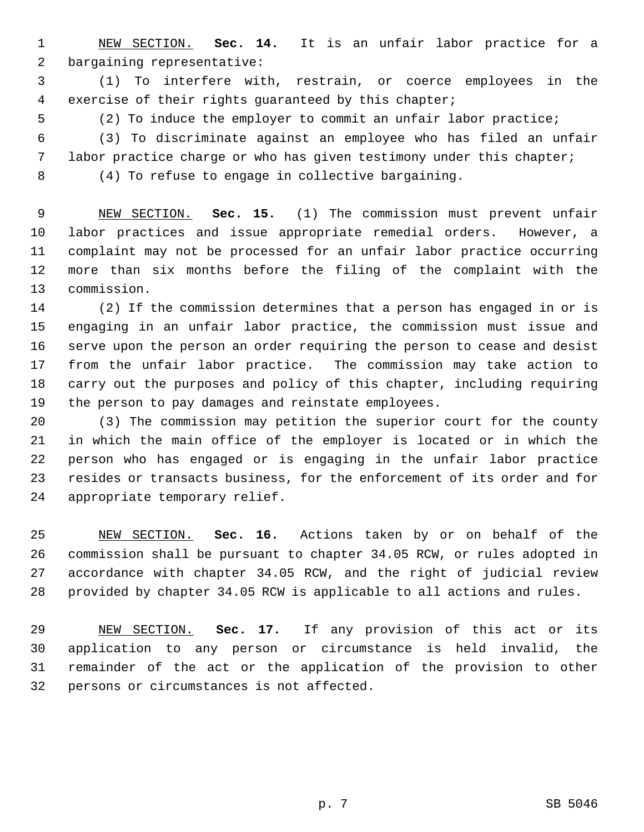1 NEW SECTION. **Sec. 14.** It is an unfair labor practice for a 2 bargaining representative:

 3 (1) To interfere with, restrain, or coerce employees in the 4 exercise of their rights guaranteed by this chapter;

5 (2) To induce the employer to commit an unfair labor practice;

 6 (3) To discriminate against an employee who has filed an unfair 7 labor practice charge or who has given testimony under this chapter;

8 (4) To refuse to engage in collective bargaining.

 9 NEW SECTION. **Sec. 15.** (1) The commission must prevent unfair 10 labor practices and issue appropriate remedial orders. However, a 11 complaint may not be processed for an unfair labor practice occurring 12 more than six months before the filing of the complaint with the 13 commission.

14 (2) If the commission determines that a person has engaged in or is 15 engaging in an unfair labor practice, the commission must issue and 16 serve upon the person an order requiring the person to cease and desist 17 from the unfair labor practice. The commission may take action to 18 carry out the purposes and policy of this chapter, including requiring 19 the person to pay damages and reinstate employees.

20 (3) The commission may petition the superior court for the county 21 in which the main office of the employer is located or in which the 22 person who has engaged or is engaging in the unfair labor practice 23 resides or transacts business, for the enforcement of its order and for 24 appropriate temporary relief.

25 NEW SECTION. **Sec. 16.** Actions taken by or on behalf of the 26 commission shall be pursuant to chapter 34.05 RCW, or rules adopted in 27 accordance with chapter 34.05 RCW, and the right of judicial review 28 provided by chapter 34.05 RCW is applicable to all actions and rules.

29 NEW SECTION. **Sec. 17.** If any provision of this act or its 30 application to any person or circumstance is held invalid, the 31 remainder of the act or the application of the provision to other 32 persons or circumstances is not affected.